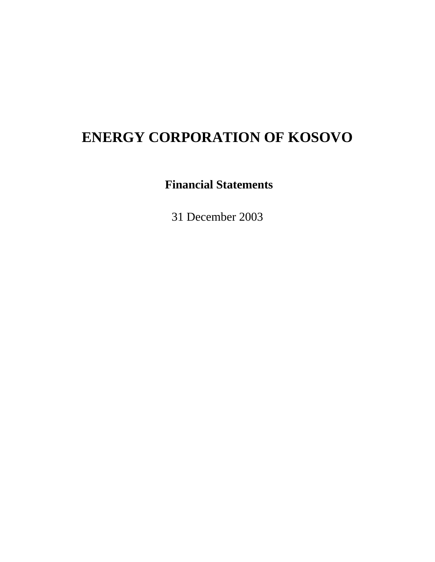# **Financial Statements**

31 December 2003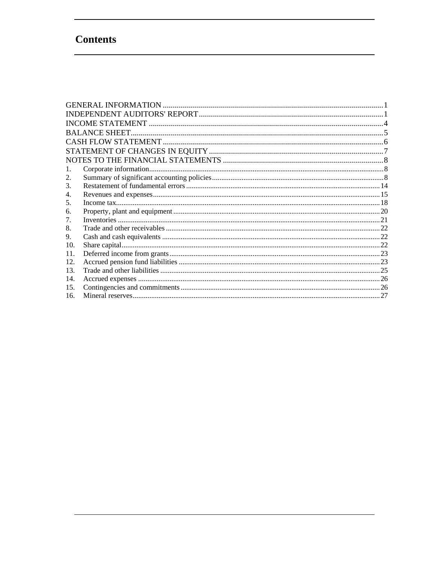# **Contents**

| 1.  |  |
|-----|--|
| 2.  |  |
| 3.  |  |
| 4.  |  |
| 5.  |  |
| 6.  |  |
| 7.  |  |
| 8.  |  |
| 9.  |  |
| 10. |  |
| 11. |  |
| 12. |  |
| 13. |  |
| 14. |  |
| 15. |  |
| 16. |  |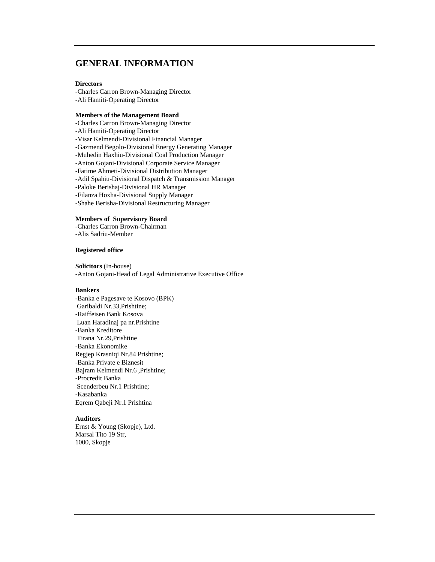# **GENERAL INFORMATION**

#### **Directors**

-Charles Carron Brown-Managing Director -Ali Hamiti-Operating Director

#### **Members of the Management Board**

-Charles Carron Brown-Managing Director -Ali Hamiti-Operating Director -Visar Kelmendi-Divisional Financial Manager -Gazmend Begolo-Divisional Energy Generating Manager -Muhedin Haxhiu-Divisional Coal Production Manager -Anton Gojani-Divisional Corporate Service Manager -Fatime Ahmeti-Divisional Distribution Manager -Adil Spahiu-Divisional Dispatch & Transmission Manager -Paloke Berishaj-Divisional HR Manager -Filanza Hoxha-Divisional Supply Manager -Shahe Berisha-Divisional Restructuring Manager

### **Members of Supervisory Board**

-Charles Carron Brown-Chairman -Alis Sadriu-Member

### **Registered office**

**Solicitors** (In-house) -Anton Gojani-Head of Legal Administrative Executive Office

#### **Bankers**

-Banka e Pagesave te Kosovo (BPK) Garibaldi Nr.33,Prishtine; -Raiffeisen Bank Kosova Luan Haradinaj pa nr.Prishtine -Banka Kreditore Tirana Nr.29,Prishtine -Banka Ekonomike Regjep Krasniqi Nr.84 Prishtine; -Banka Private e Biznesit Bajram Kelmendi Nr.6 ,Prishtine; -Procredit Banka Scenderbeu Nr.1 Prishtine; -Kasabanka Eqrem Qabeji Nr.1 Prishtina

#### **Auditors**

Ernst & Young (Skopje), Ltd. Marsal Tito 19 Str, 1000, Skopje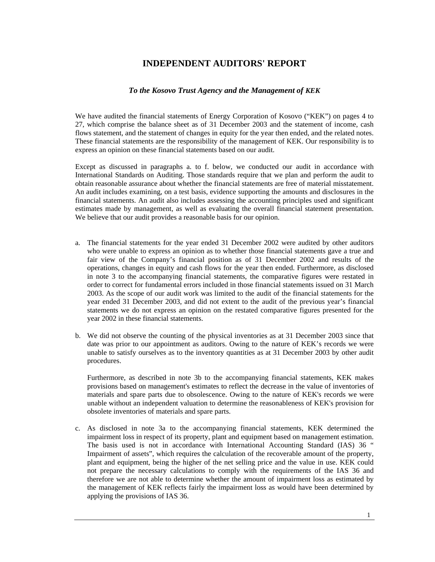# **INDEPENDENT AUDITORS' REPORT**

### *To the Kosovo Trust Agency and the Management of KEK*

We have audited the financial statements of Energy Corporation of Kosovo ("KEK") on pages 4 to 27, which comprise the balance sheet as of 31 December 2003 and the statement of income, cash flows statement, and the statement of changes in equity for the year then ended, and the related notes. These financial statements are the responsibility of the management of KEK. Our responsibility is to express an opinion on these financial statements based on our audit.

Except as discussed in paragraphs a. to f. below, we conducted our audit in accordance with International Standards on Auditing. Those standards require that we plan and perform the audit to obtain reasonable assurance about whether the financial statements are free of material misstatement. An audit includes examining, on a test basis, evidence supporting the amounts and disclosures in the financial statements. An audit also includes assessing the accounting principles used and significant estimates made by management, as well as evaluating the overall financial statement presentation. We believe that our audit provides a reasonable basis for our opinion.

- a. The financial statements for the year ended 31 December 2002 were audited by other auditors who were unable to express an opinion as to whether those financial statements gave a true and fair view of the Company's financial position as of 31 December 2002 and results of the operations, changes in equity and cash flows for the year then ended. Furthermore, as disclosed in note 3 to the accompanying financial statements, the comparative figures were restated in order to correct for fundamental errors included in those financial statements issued on 31 March 2003. As the scope of our audit work was limited to the audit of the financial statements for the year ended 31 December 2003, and did not extent to the audit of the previous year's financial statements we do not express an opinion on the restated comparative figures presented for the year 2002 in these financial statements.
- b. We did not observe the counting of the physical inventories as at 31 December 2003 since that date was prior to our appointment as auditors. Owing to the nature of KEK's records we were unable to satisfy ourselves as to the inventory quantities as at 31 December 2003 by other audit procedures.

Furthermore, as described in note 3b to the accompanying financial statements, KEK makes provisions based on management's estimates to reflect the decrease in the value of inventories of materials and spare parts due to obsolescence. Owing to the nature of KEK's records we were unable without an independent valuation to determine the reasonableness of KEK's provision for obsolete inventories of materials and spare parts.

c. As disclosed in note 3a to the accompanying financial statements, KEK determined the impairment loss in respect of its property, plant and equipment based on management estimation. The basis used is not in accordance with International Accounting Standard (IAS) 36 " Impairment of assets", which requires the calculation of the recoverable amount of the property, plant and equipment, being the higher of the net selling price and the value in use. KEK could not prepare the necessary calculations to comply with the requirements of the IAS 36 and therefore we are not able to determine whether the amount of impairment loss as estimated by the management of KEK reflects fairly the impairment loss as would have been determined by applying the provisions of IAS 36.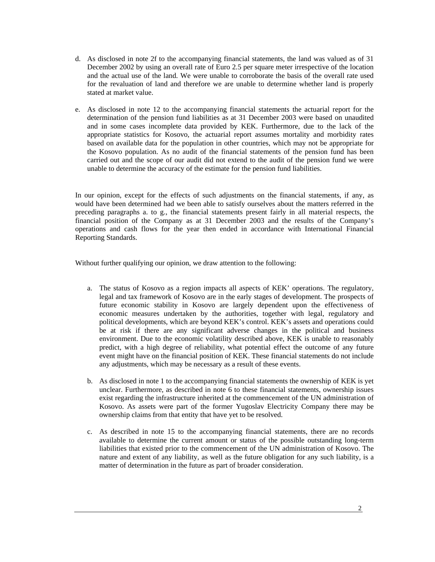- d. As disclosed in note 2f to the accompanying financial statements, the land was valued as of 31 December 2002 by using an overall rate of Euro 2.5 per square meter irrespective of the location and the actual use of the land. We were unable to corroborate the basis of the overall rate used for the revaluation of land and therefore we are unable to determine whether land is properly stated at market value.
- e. As disclosed in note 12 to the accompanying financial statements the actuarial report for the determination of the pension fund liabilities as at 31 December 2003 were based on unaudited and in some cases incomplete data provided by KEK. Furthermore, due to the lack of the appropriate statistics for Kosovo, the actuarial report assumes mortality and morbidity rates based on available data for the population in other countries, which may not be appropriate for the Kosovo population. As no audit of the financial statements of the pension fund has been carried out and the scope of our audit did not extend to the audit of the pension fund we were unable to determine the accuracy of the estimate for the pension fund liabilities.

In our opinion, except for the effects of such adjustments on the financial statements, if any, as would have been determined had we been able to satisfy ourselves about the matters referred in the preceding paragraphs a. to g., the financial statements present fairly in all material respects, the financial position of the Company as at 31 December 2003 and the results of the Company's operations and cash flows for the year then ended in accordance with International Financial Reporting Standards.

Without further qualifying our opinion, we draw attention to the following:

- a. The status of Kosovo as a region impacts all aspects of KEK' operations. The regulatory, legal and tax framework of Kosovo are in the early stages of development. The prospects of future economic stability in Kosovo are largely dependent upon the effectiveness of economic measures undertaken by the authorities, together with legal, regulatory and political developments, which are beyond KEK's control. KEK's assets and operations could be at risk if there are any significant adverse changes in the political and business environment. Due to the economic volatility described above, KEK is unable to reasonably predict, with a high degree of reliability, what potential effect the outcome of any future event might have on the financial position of KEK. These financial statements do not include any adjustments, which may be necessary as a result of these events.
- b. As disclosed in note 1 to the accompanying financial statements the ownership of KEK is yet unclear. Furthermore, as described in note 6 to these financial statements, ownership issues exist regarding the infrastructure inherited at the commencement of the UN administration of Kosovo. As assets were part of the former Yugoslav Electricity Company there may be ownership claims from that entity that have yet to be resolved.
- c. As described in note 15 to the accompanying financial statements, there are no records available to determine the current amount or status of the possible outstanding long-term liabilities that existed prior to the commencement of the UN administration of Kosovo. The nature and extent of any liability, as well as the future obligation for any such liability, is a matter of determination in the future as part of broader consideration.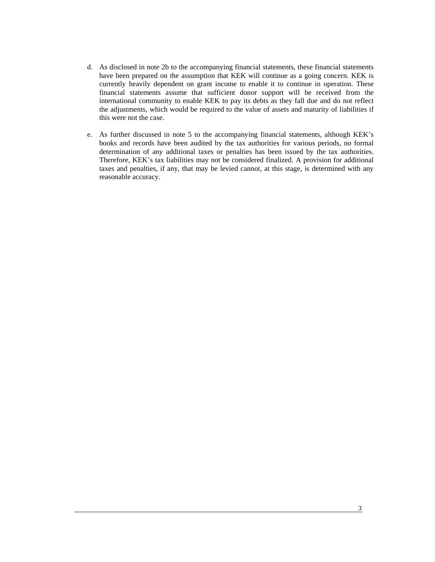- d. As disclosed in note 2b to the accompanying financial statements, these financial statements have been prepared on the assumption that KEK will continue as a going concern. KEK is currently heavily dependent on grant income to enable it to continue in operation. These financial statements assume that sufficient donor support will be received from the international community to enable KEK to pay its debts as they fall due and do not reflect the adjustments, which would be required to the value of assets and maturity of liabilities if this were not the case.
- e. As further discussed in note 5 to the accompanying financial statements, although KEK's books and records have been audited by the tax authorities for various periods, no formal determination of any additional taxes or penalties has been issued by the tax authorities. Therefore, KEK's tax liabilities may not be considered finalized. A provision for additional taxes and penalties, if any, that may be levied cannot, at this stage, is determined with any reasonable accuracy.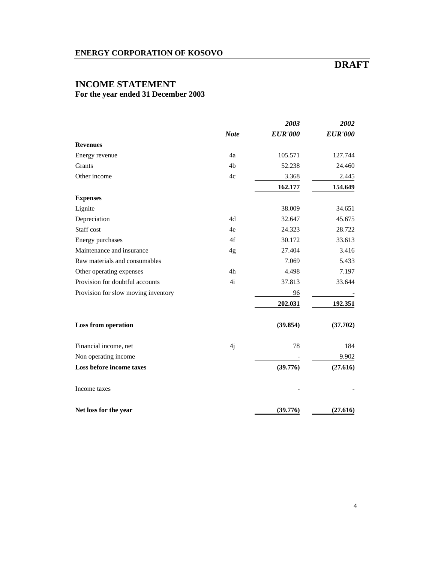# **DRAFT**

# **INCOME STATEMENT For the year ended 31 December 2003**

|                                     |             | 2003           | 2002           |
|-------------------------------------|-------------|----------------|----------------|
|                                     | <b>Note</b> | <b>EUR'000</b> | <b>EUR'000</b> |
| <b>Revenues</b>                     |             |                |                |
| Energy revenue                      | 4a          | 105.571        | 127.744        |
| Grants                              | 4b          | 52.238         | 24.460         |
| Other income                        | 4c          | 3.368          | 2.445          |
|                                     |             | 162.177        | 154.649        |
| <b>Expenses</b>                     |             |                |                |
| Lignite                             |             | 38.009         | 34.651         |
| Depreciation                        | 4d          | 32.647         | 45.675         |
| Staff cost                          | 4e          | 24.323         | 28.722         |
| Energy purchases                    | 4f          | 30.172         | 33.613         |
| Maintenance and insurance           | 4g          | 27.404         | 3.416          |
| Raw materials and consumables       |             | 7.069          | 5.433          |
| Other operating expenses            | 4h          | 4.498          | 7.197          |
| Provision for doubtful accounts     | 4i          | 37.813         | 33.644         |
| Provision for slow moving inventory |             | 96             |                |
|                                     |             | 202.031        | 192.351        |
| <b>Loss from operation</b>          |             | (39.854)       | (37.702)       |
| Financial income, net               | 4j          | 78             | 184            |
| Non operating income                |             |                | 9.902          |
| Loss before income taxes            |             | (39.776)       | (27.616)       |
| Income taxes                        |             |                |                |
| Net loss for the year               |             | (39.776)       | (27.616)       |

4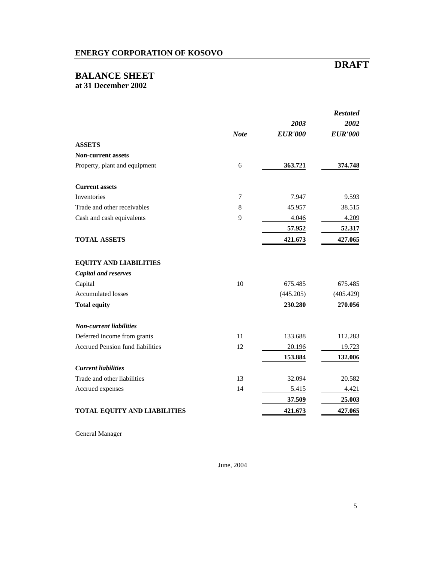### **BALANCE SHEET at 31 December 2002**

# *Restated 2003 2002 Note EUR'000 EUR'000* **ASSETS Non-current assets**  Property, plant and equipment 6 **363.721 374.748 Current assets**  Inventories 2012 1.947 9.593 Trade and other receivables 8 45.957 38.515 Cash and cash equivalents and cash equivalents and cash equivalents and cash of  $\frac{9}{4.046}$  and  $\frac{4.209}{4.209}$  **57.952 52.317 TOTAL ASSETS 421.673 427.065 EQUITY AND LIABILITIES**  *Capital and reserves*  Capital 10 675.485 675.485 Accumulated losses (445.205) (405.429) **Total equity 230.280 270.056** *Non-current liabilities*  Deferred income from grants 11 133.688 112.283 Accrued Pension fund liabilities 12 20.196 19.723 **153.884 132.006** *Current liabilities*  Trade and other liabilities 13 32.094 20.582 Accrued expenses 14 5.415 4.421 **37.509 25.003 TOTAL EQUITY AND LIABILITIES 421.673 427.065**

General Manager

June, 2004

# **DRAFT**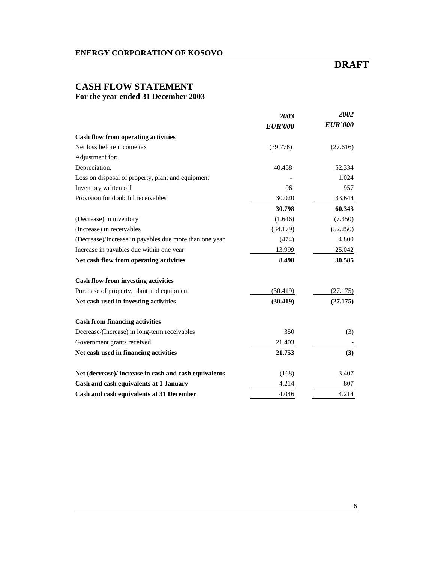# **DRAFT**

# **CASH FLOW STATEMENT For the year ended 31 December 2003**

|                                                        | 2003           | 2002           |
|--------------------------------------------------------|----------------|----------------|
|                                                        | <b>EUR'000</b> | <b>EUR'000</b> |
| Cash flow from operating activities                    |                |                |
| Net loss before income tax                             | (39.776)       | (27.616)       |
| Adjustment for:                                        |                |                |
| Depreciation.                                          | 40.458         | 52.334         |
| Loss on disposal of property, plant and equipment      |                | 1.024          |
| Inventory written off                                  | 96             | 957            |
| Provision for doubtful receivables                     | 30.020         | 33.644         |
|                                                        | 30.798         | 60.343         |
| (Decrease) in inventory                                | (1.646)        | (7.350)        |
| (Increase) in receivables                              | (34.179)       | (52.250)       |
| (Decrease)/Increase in payables due more than one year | (474)          | 4.800          |
| Increase in payables due within one year               | 13.999         | 25.042         |
| Net cash flow from operating activities                | 8.498          | 30.585         |
| <b>Cash flow from investing activities</b>             |                |                |
| Purchase of property, plant and equipment              | (30.419)       | (27.175)       |
| Net cash used in investing activities                  | (30.419)       | (27.175)       |
| <b>Cash from financing activities</b>                  |                |                |
| Decrease/(Increase) in long-term receivables           | 350            | (3)            |
| Government grants received                             | 21.403         |                |
| Net cash used in financing activities                  | 21.753         | (3)            |
| Net (decrease)/ increase in cash and cash equivalents  | (168)          | 3.407          |
| Cash and cash equivalents at 1 January                 | 4.214          | 807            |
| Cash and cash equivalents at 31 December               | 4.046          | 4.214          |

6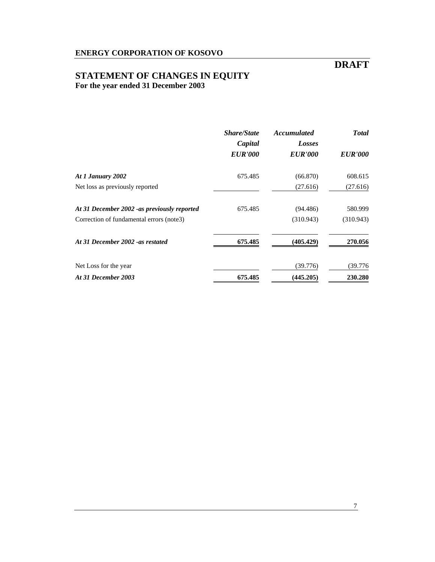# **DRAFT**

# **STATEMENT OF CHANGES IN EQUITY For the year ended 31 December 2003**

|                                              | <b>Share/State</b><br><b>Accumulated</b><br>Capital<br>Losses | <b>Total</b>   |                |
|----------------------------------------------|---------------------------------------------------------------|----------------|----------------|
|                                              | <b>EUR'000</b>                                                | <b>EUR'000</b> | <b>EUR'000</b> |
| At 1 January 2002                            | 675.485                                                       | (66.870)       | 608.615        |
| Net loss as previously reported              |                                                               | (27.616)       | (27.616)       |
| At 31 December 2002 - as previously reported | 675.485                                                       | (94.486)       | 580.999        |
| Correction of fundamental errors (note3)     |                                                               | (310.943)      | (310.943)      |
| At 31 December 2002 - as restated            | 675.485                                                       | (405.429)      | 270.056        |
| Net Loss for the year                        |                                                               | (39.776)       | (39.776        |
| At 31 December 2003                          | 675.485                                                       | (445.205)      | 230.280        |

7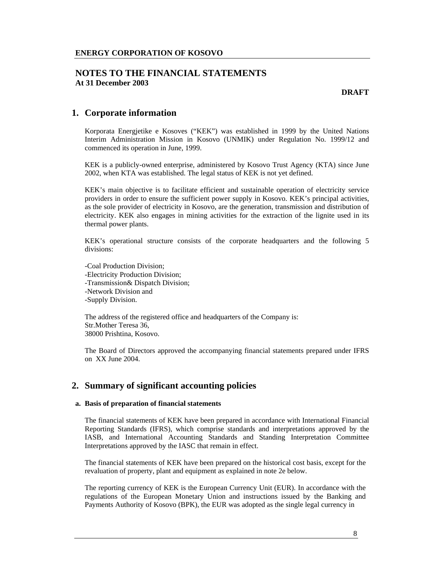**DRAFT** 

# **1. Corporate information**

Korporata Energjetike e Kosoves ("KEK") was established in 1999 by the United Nations Interim Administration Mission in Kosovo (UNMIK) under Regulation No. 1999/12 and commenced its operation in June, 1999.

KEK is a publicly-owned enterprise, administered by Kosovo Trust Agency (KTA) since June 2002, when KTA was established. The legal status of KEK is not yet defined.

KEK's main objective is to facilitate efficient and sustainable operation of electricity service providers in order to ensure the sufficient power supply in Kosovo. KEK's principal activities, as the sole provider of electricity in Kosovo, are the generation, transmission and distribution of electricity. KEK also engages in mining activities for the extraction of the lignite used in its thermal power plants.

KEK's operational structure consists of the corporate headquarters and the following 5 divisions:

-Coal Production Division; -Electricity Production Division; -Transmission& Dispatch Division; -Network Division and -Supply Division.

The address of the registered office and headquarters of the Company is: Str.Mother Teresa 36, 38000 Prishtina, Kosovo.

The Board of Directors approved the accompanying financial statements prepared under IFRS on XX June 2004.

# **2. Summary of significant accounting policies**

### **a. Basis of preparation of financial statements**

The financial statements of KEK have been prepared in accordance with International Financial Reporting Standards (IFRS), which comprise standards and interpretations approved by the IASB, and International Accounting Standards and Standing Interpretation Committee Interpretations approved by the IASC that remain in effect.

The financial statements of KEK have been prepared on the historical cost basis, except for the revaluation of property, plant and equipment as explained in note 2e below.

The reporting currency of KEK is the European Currency Unit (EUR). In accordance with the regulations of the European Monetary Union and instructions issued by the Banking and Payments Authority of Kosovo (BPK), the EUR was adopted as the single legal currency in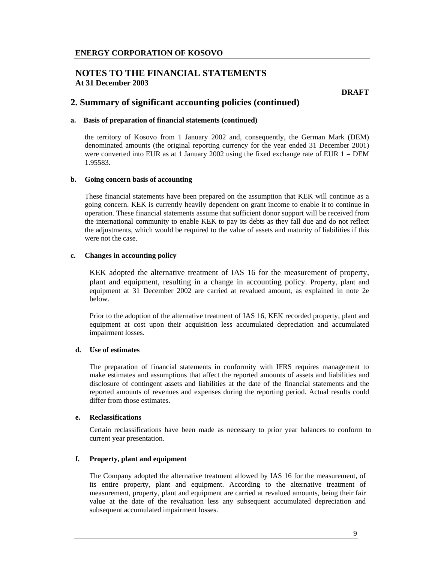# **NOTES TO THE FINANCIAL STATEMENTS At 31 December 2003**

**DRAFT** 

# **2. Summary of significant accounting policies (continued)**

### **a. Basis of preparation of financial statements (continued)**

the territory of Kosovo from 1 January 2002 and, consequently, the German Mark (DEM) denominated amounts (the original reporting currency for the year ended 31 December 2001) were converted into EUR as at 1 January 2002 using the fixed exchange rate of EUR  $1 = DEM$ 1.95583.

### **b. Going concern basis of accounting**

These financial statements have been prepared on the assumption that KEK will continue as a going concern. KEK is currently heavily dependent on grant income to enable it to continue in operation. These financial statements assume that sufficient donor support will be received from the international community to enable KEK to pay its debts as they fall due and do not reflect the adjustments, which would be required to the value of assets and maturity of liabilities if this were not the case.

### **c. Changes in accounting policy**

KEK adopted the alternative treatment of IAS 16 for the measurement of property, plant and equipment, resulting in a change in accounting policy. Property, plant and equipment at 31 December 2002 are carried at revalued amount, as explained in note 2e below.

Prior to the adoption of the alternative treatment of IAS 16, KEK recorded property, plant and equipment at cost upon their acquisition less accumulated depreciation and accumulated impairment losses.

## **d. Use of estimates**

The preparation of financial statements in conformity with IFRS requires management to make estimates and assumptions that affect the reported amounts of assets and liabilities and disclosure of contingent assets and liabilities at the date of the financial statements and the reported amounts of revenues and expenses during the reporting period. Actual results could differ from those estimates.

#### **e. Reclassifications**

Certain reclassifications have been made as necessary to prior year balances to conform to current year presentation.

### **f. Property, plant and equipment**

The Company adopted the alternative treatment allowed by IAS 16 for the measurement, of its entire property, plant and equipment. According to the alternative treatment of measurement, property, plant and equipment are carried at revalued amounts, being their fair value at the date of the revaluation less any subsequent accumulated depreciation and subsequent accumulated impairment losses.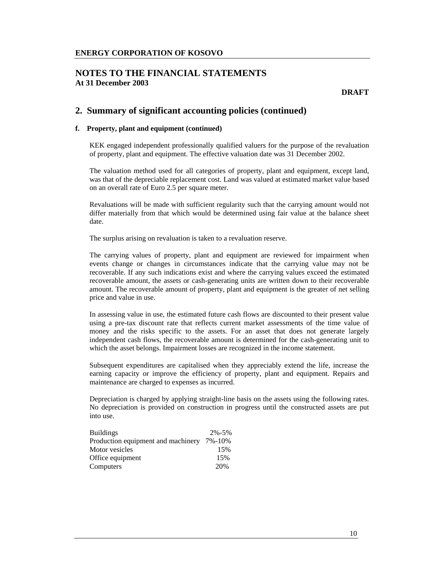### **NOTES TO THE FINANCIAL STATEMENTS At 31 December 2003**

**DRAFT** 

# **2. Summary of significant accounting policies (continued)**

### **f. Property, plant and equipment (continued)**

KEK engaged independent professionally qualified valuers for the purpose of the revaluation of property, plant and equipment. The effective valuation date was 31 December 2002.

The valuation method used for all categories of property, plant and equipment, except land, was that of the depreciable replacement cost. Land was valued at estimated market value based on an overall rate of Euro 2.5 per square meter.

Revaluations will be made with sufficient regularity such that the carrying amount would not differ materially from that which would be determined using fair value at the balance sheet date.

The surplus arising on revaluation is taken to a revaluation reserve.

The carrying values of property, plant and equipment are reviewed for impairment when events change or changes in circumstances indicate that the carrying value may not be recoverable. If any such indications exist and where the carrying values exceed the estimated recoverable amount, the assets or cash-generating units are written down to their recoverable amount. The recoverable amount of property, plant and equipment is the greater of net selling price and value in use.

In assessing value in use, the estimated future cash flows are discounted to their present value using a pre-tax discount rate that reflects current market assessments of the time value of money and the risks specific to the assets. For an asset that does not generate largely independent cash flows, the recoverable amount is determined for the cash-generating unit to which the asset belongs. Impairment losses are recognized in the income statement.

Subsequent expenditures are capitalised when they appreciably extend the life, increase the earning capacity or improve the efficiency of property, plant and equipment. Repairs and maintenance are charged to expenses as incurred.

Depreciation is charged by applying straight-line basis on the assets using the following rates. No depreciation is provided on construction in progress until the constructed assets are put into use.

| <b>Buildings</b>                   | $2\% - 5\%$ |
|------------------------------------|-------------|
| Production equipment and machinery | 7%-10%      |
| Motor vesicles                     | 15%         |
| Office equipment                   | 15%         |
| Computers                          | 20%         |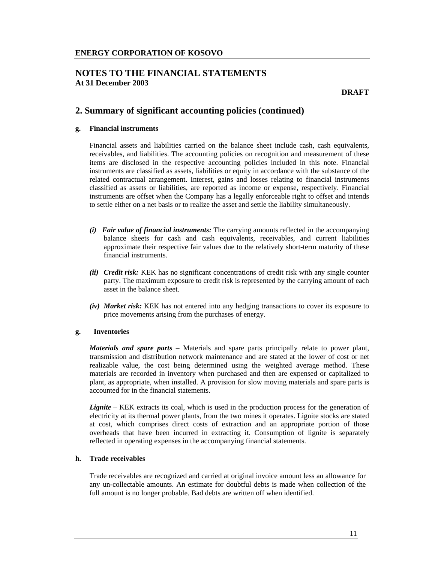**DRAFT** 

# **2. Summary of significant accounting policies (continued)**

### **g. Financial instruments**

Financial assets and liabilities carried on the balance sheet include cash, cash equivalents, receivables, and liabilities. The accounting policies on recognition and measurement of these items are disclosed in the respective accounting policies included in this note. Financial instruments are classified as assets, liabilities or equity in accordance with the substance of the related contractual arrangement. Interest, gains and losses relating to financial instruments classified as assets or liabilities, are reported as income or expense, respectively. Financial instruments are offset when the Company has a legally enforceable right to offset and intends to settle either on a net basis or to realize the asset and settle the liability simultaneously.

- *(i) Fair value of financial instruments:* The carrying amounts reflected in the accompanying balance sheets for cash and cash equivalents, receivables, and current liabilities approximate their respective fair values due to the relatively short-term maturity of these financial instruments.
- *(ii) Credit risk:* KEK has no significant concentrations of credit risk with any single counter party. The maximum exposure to credit risk is represented by the carrying amount of each asset in the balance sheet.
- *(iv) Market risk:* KEK has not entered into any hedging transactions to cover its exposure to price movements arising from the purchases of energy.

#### **g. Inventories**

*Materials and spare parts* – Materials and spare parts principally relate to power plant, transmission and distribution network maintenance and are stated at the lower of cost or net realizable value, the cost being determined using the weighted average method. These materials are recorded in inventory when purchased and then are expensed or capitalized to plant, as appropriate, when installed. A provision for slow moving materials and spare parts is accounted for in the financial statements.

*Lignite* – KEK extracts its coal, which is used in the production process for the generation of electricity at its thermal power plants, from the two mines it operates. Lignite stocks are stated at cost, which comprises direct costs of extraction and an appropriate portion of those overheads that have been incurred in extracting it. Consumption of lignite is separately reflected in operating expenses in the accompanying financial statements.

### **h. Trade receivables**

Trade receivables are recognized and carried at original invoice amount less an allowance for any un-collectable amounts. An estimate for doubtful debts is made when collection of the full amount is no longer probable. Bad debts are written off when identified.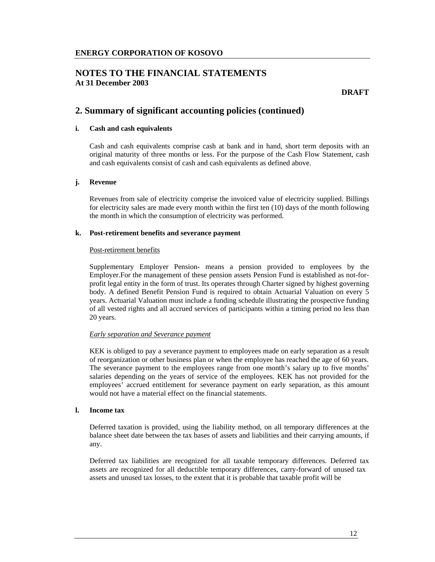**DRAFT** 

# **2. Summary of significant accounting policies (continued)**

### **i. Cash and cash equivalents**

Cash and cash equivalents comprise cash at bank and in hand, short term deposits with an original maturity of three months or less. For the purpose of the Cash Flow Statement, cash and cash equivalents consist of cash and cash equivalents as defined above.

#### **j. Revenue**

Revenues from sale of electricity comprise the invoiced value of electricity supplied. Billings for electricity sales are made every month within the first ten (10) days of the month following the month in which the consumption of electricity was performed.

#### **k. Post-retirement benefits and severance payment**

#### Post-retirement benefits

Supplementary Employer Pension- means a pension provided to employees by the Employer.For the management of these pension assets Pension Fund is established as not-forprofit legal entity in the form of trust. Its operates through Charter signed by highest governing body. A defined Benefit Pension Fund is required to obtain Actuarial Valuation on every 5 years. Actuarial Valuation must include a funding schedule illustrating the prospective funding of all vested rights and all accrued services of participants within a timing period no less than 20 years.

#### *Early separation and Severance payment*

KEK is obliged to pay a severance payment to employees made on early separation as a result of reorganization or other business plan or when the employee has reached the age of 60 years. The severance payment to the employees range from one month's salary up to five months' salaries depending on the years of service of the employees. KEK has not provided for the employees' accrued entitlement for severance payment on early separation, as this amount would not have a material effect on the financial statements.

#### **l. Income tax**

Deferred taxation is provided, using the liability method, on all temporary differences at the balance sheet date between the tax bases of assets and liabilities and their carrying amounts, if any.

 Deferred tax liabilities are recognized for all taxable temporary differences. Deferred tax assets are recognized for all deductible temporary differences, carry-forward of unused tax assets and unused tax losses, to the extent that it is probable that taxable profit will be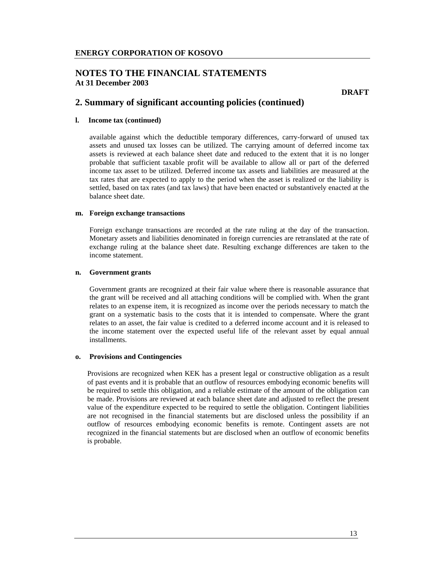# **NOTES TO THE FINANCIAL STATEMENTS At 31 December 2003**

**DRAFT** 

# **2. Summary of significant accounting policies (continued)**

#### **l. Income tax (continued)**

available against which the deductible temporary differences, carry-forward of unused tax assets and unused tax losses can be utilized. The carrying amount of deferred income tax assets is reviewed at each balance sheet date and reduced to the extent that it is no longer probable that sufficient taxable profit will be available to allow all or part of the deferred income tax asset to be utilized. Deferred income tax assets and liabilities are measured at the tax rates that are expected to apply to the period when the asset is realized or the liability is settled, based on tax rates (and tax laws) that have been enacted or substantively enacted at the balance sheet date.

#### **m. Foreign exchange transactions**

Foreign exchange transactions are recorded at the rate ruling at the day of the transaction. Monetary assets and liabilities denominated in foreign currencies are retranslated at the rate of exchange ruling at the balance sheet date. Resulting exchange differences are taken to the income statement.

#### **n. Government grants**

Government grants are recognized at their fair value where there is reasonable assurance that the grant will be received and all attaching conditions will be complied with. When the grant relates to an expense item, it is recognized as income over the periods necessary to match the grant on a systematic basis to the costs that it is intended to compensate. Where the grant relates to an asset, the fair value is credited to a deferred income account and it is released to the income statement over the expected useful life of the relevant asset by equal annual installments.

#### **o. Provisions and Contingencies**

Provisions are recognized when KEK has a present legal or constructive obligation as a result of past events and it is probable that an outflow of resources embodying economic benefits will be required to settle this obligation, and a reliable estimate of the amount of the obligation can be made. Provisions are reviewed at each balance sheet date and adjusted to reflect the present value of the expenditure expected to be required to settle the obligation. Contingent liabilities are not recognised in the financial statements but are disclosed unless the possibility if an outflow of resources embodying economic benefits is remote. Contingent assets are not recognized in the financial statements but are disclosed when an outflow of economic benefits is probable.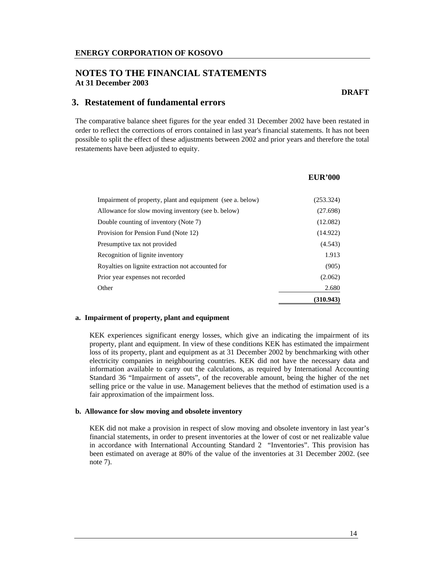# **3. Restatement of fundamental errors**

The comparative balance sheet figures for the year ended 31 December 2002 have been restated in order to reflect the corrections of errors contained in last year's financial statements. It has not been possible to split the effect of these adjustments between 2002 and prior years and therefore the total restatements have been adjusted to equity.

|                                                            | <b>EUR'000</b> |
|------------------------------------------------------------|----------------|
|                                                            |                |
| Impairment of property, plant and equipment (see a. below) | (253.324)      |
| Allowance for slow moving inventory (see b. below)         | (27.698)       |
| Double counting of inventory (Note 7)                      | (12.082)       |
| Provision for Pension Fund (Note 12)                       | (14.922)       |
| Presumptive tax not provided                               | (4.543)        |
| Recognition of lignite inventory                           | 1.913          |
| Royalties on lignite extraction not accounted for          | (905)          |
| Prior year expenses not recorded                           | (2.062)        |
| Other                                                      | 2.680          |
|                                                            | (310.943)      |

#### **a. Impairment of property, plant and equipment**

KEK experiences significant energy losses, which give an indicating the impairment of its property, plant and equipment. In view of these conditions KEK has estimated the impairment loss of its property, plant and equipment as at 31 December 2002 by benchmarking with other electricity companies in neighbouring countries. KEK did not have the necessary data and information available to carry out the calculations, as required by International Accounting Standard 36 "Impairment of assets", of the recoverable amount, being the higher of the net selling price or the value in use. Management believes that the method of estimation used is a fair approximation of the impairment loss.

### **b. Allowance for slow moving and obsolete inventory**

KEK did not make a provision in respect of slow moving and obsolete inventory in last year's financial statements, in order to present inventories at the lower of cost or net realizable value in accordance with International Accounting Standard 2 "Inventories". This provision has been estimated on average at 80% of the value of the inventories at 31 December 2002. (see note 7).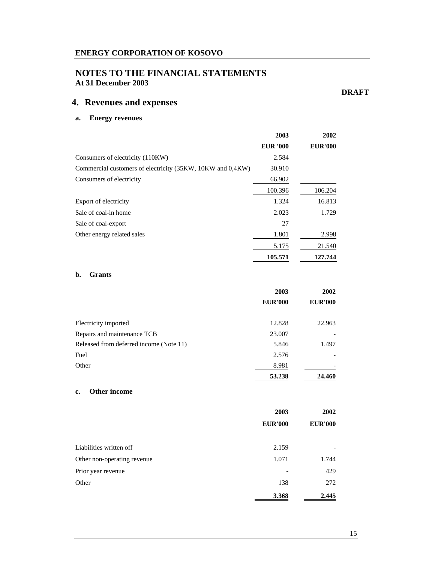# **NOTES TO THE FINANCIAL STATEMENTS At 31 December 2003**

# **4. Revenues and expenses**

# **a. Energy revenues**

|                                                            | 2003            | 2002           |
|------------------------------------------------------------|-----------------|----------------|
|                                                            | <b>EUR '000</b> | <b>EUR'000</b> |
| Consumers of electricity (110KW)                           | 2.584           |                |
| Commercial customers of electricity (35KW, 10KW and 0,4KW) | 30.910          |                |
| Consumers of electricity                                   | 66.902          |                |
|                                                            | 100.396         | 106.204        |
| Export of electricity                                      | 1.324           | 16.813         |
| Sale of coal-in home                                       | 2.023           | 1.729          |
| Sale of coal-export                                        | 27              |                |
| Other energy related sales                                 | 1.801           | 2.998          |
|                                                            | 5.175           | 21.540         |
|                                                            | 105.571         | 127.744        |

### **b. Grants**

|                                         | 2003           | 2002           |
|-----------------------------------------|----------------|----------------|
|                                         | <b>EUR'000</b> | <b>EUR'000</b> |
| Electricity imported                    | 12.828         | 22.963         |
| Repairs and maintenance TCB             | 23.007         |                |
| Released from deferred income (Note 11) | 5.846          | 1.497          |
| Fuel                                    | 2.576          |                |
| Other                                   | 8.981          |                |
|                                         | 53.238         | 24.460         |

### **c. Other income**

|                             | 2003           | 2002           |
|-----------------------------|----------------|----------------|
|                             | <b>EUR'000</b> | <b>EUR'000</b> |
| Liabilities written off     | 2.159          |                |
| Other non-operating revenue | 1.071          | 1.744          |
| Prior year revenue          |                | 429            |
| Other                       | 138            | 272            |
|                             | 3.368          | 2.445          |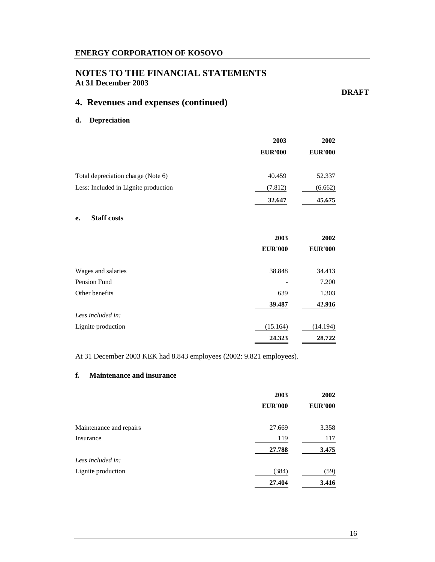# **NOTES TO THE FINANCIAL STATEMENTS At 31 December 2003**

**DRAFT** 

# **4. Revenues and expenses (continued)**

### **d. Depreciation**

|                                      | 2003           | 2002           |
|--------------------------------------|----------------|----------------|
|                                      | <b>EUR'000</b> | <b>EUR'000</b> |
| Total depreciation charge (Note 6)   | 40.459         | 52.337         |
| Less: Included in Lignite production | (7.812)        | (6.662)        |
|                                      | 32.647         | 45.675         |

### **e. Staff costs**

|                    | 2003           | 2002           |
|--------------------|----------------|----------------|
|                    | <b>EUR'000</b> | <b>EUR'000</b> |
| Wages and salaries | 38.848         | 34.413         |
| Pension Fund       |                | 7.200          |
| Other benefits     | 639            | 1.303          |
|                    | 39.487         | 42.916         |
| Less included in:  |                |                |
| Lignite production | (15.164)       | (14.194)       |
|                    | 24.323         | 28.722         |

At 31 December 2003 KEK had 8.843 employees (2002: 9.821 employees).

### **f. Maintenance and insurance**

|                         | 2003           | 2002           |
|-------------------------|----------------|----------------|
|                         | <b>EUR'000</b> | <b>EUR'000</b> |
| Maintenance and repairs | 27.669         | 3.358          |
| Insurance               | 119            | 117            |
|                         | 27.788         | 3.475          |
| Less included in:       |                |                |
| Lignite production      | (384)          | (59)           |
|                         | 27.404         | 3.416          |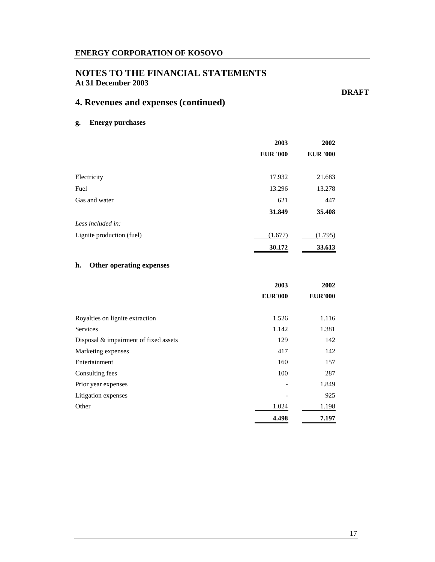# **NOTES TO THE FINANCIAL STATEMENTS At 31 December 2003**

**DRAFT** 

# **4. Revenues and expenses (continued)**

**g. Energy purchases** 

|                           | 2003            | 2002            |
|---------------------------|-----------------|-----------------|
|                           | <b>EUR '000</b> | <b>EUR '000</b> |
|                           |                 |                 |
| Electricity               | 17.932          | 21.683          |
| Fuel                      | 13.296          | 13.278          |
| Gas and water             | 621             | 447             |
|                           | 31.849          | 35.408          |
| Less included in:         |                 |                 |
| Lignite production (fuel) | (1.677)         | (1.795)         |
|                           | 30.172          | 33.613          |

### **h. Other operating expenses**

|                                       | 2003           | 2002           |
|---------------------------------------|----------------|----------------|
|                                       | <b>EUR'000</b> | <b>EUR'000</b> |
|                                       |                |                |
| Royalties on lignite extraction       | 1.526          | 1.116          |
| <b>Services</b>                       | 1.142          | 1.381          |
| Disposal & impairment of fixed assets | 129            | 142            |
| Marketing expenses                    | 417            | 142            |
| Entertainment                         | 160            | 157            |
| Consulting fees                       | 100            | 287            |
| Prior year expenses                   |                | 1.849          |
| Litigation expenses                   |                | 925            |
| Other                                 | 1.024          | 1.198          |
|                                       | 4.498          | 7.197          |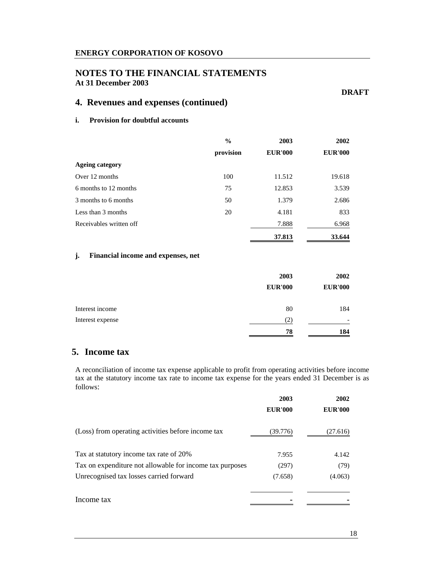# **NOTES TO THE FINANCIAL STATEMENTS At 31 December 2003**

**DRAFT** 

# **4. Revenues and expenses (continued)**

### **i. Provision for doubtful accounts**

|                         | $\frac{0}{0}$ | 2003           | 2002           |
|-------------------------|---------------|----------------|----------------|
|                         | provision     | <b>EUR'000</b> | <b>EUR'000</b> |
| <b>Ageing category</b>  |               |                |                |
| Over 12 months          | 100           | 11.512         | 19.618         |
| 6 months to 12 months   | 75            | 12.853         | 3.539          |
| 3 months to 6 months    | 50            | 1.379          | 2.686          |
| Less than 3 months      | 20            | 4.181          | 833            |
| Receivables written off |               | 7.888          | 6.968          |
|                         |               | 37.813         | 33.644         |

### **j. Financial income and expenses, net**

|                  | 2003              | 2002           |
|------------------|-------------------|----------------|
|                  | <b>EUR'000</b>    | <b>EUR'000</b> |
| Interest income  | 80                | 184            |
| Interest expense | $\left( 2\right)$ | -              |
|                  | 78                | 184            |

# **5. Income tax**

A reconciliation of income tax expense applicable to profit from operating activities before income tax at the statutory income tax rate to income tax expense for the years ended 31 December is as follows:

|                                                          | 2003           | 2002           |
|----------------------------------------------------------|----------------|----------------|
|                                                          | <b>EUR'000</b> | <b>EUR'000</b> |
| (Loss) from operating activities before income tax       | (39.776)       | (27.616)       |
| Tax at statutory income tax rate of 20%                  | 7.955          | 4.142          |
| Tax on expenditure not allowable for income tax purposes | (297)          | (79)           |
| Unrecognised tax losses carried forward                  | (7.658)        | (4.063)        |
| Income tax                                               |                |                |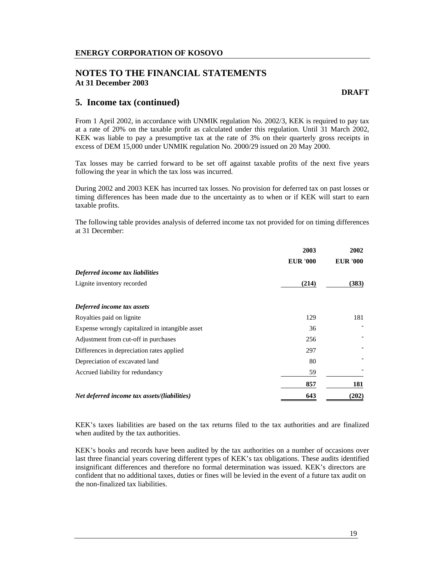### **NOTES TO THE FINANCIAL STATEMENTS At 31 December 2003**

### **5. Income tax (continued)**

From 1 April 2002, in accordance with UNMIK regulation No. 2002/3, KEK is required to pay tax at a rate of 20% on the taxable profit as calculated under this regulation. Until 31 March 2002, KEK was liable to pay a presumptive tax at the rate of 3% on their quarterly gross receipts in excess of DEM 15,000 under UNMIK regulation No. 2000/29 issued on 20 May 2000.

Tax losses may be carried forward to be set off against taxable profits of the next five years following the year in which the tax loss was incurred.

During 2002 and 2003 KEK has incurred tax losses. No provision for deferred tax on past losses or timing differences has been made due to the uncertainty as to when or if KEK will start to earn taxable profits.

The following table provides analysis of deferred income tax not provided for on timing differences at 31 December:

|                                                 | 2003            | 2002            |
|-------------------------------------------------|-----------------|-----------------|
|                                                 | <b>EUR '000</b> | <b>EUR '000</b> |
| Deferred income tax liabilities                 |                 |                 |
| Lignite inventory recorded                      | (214)           | (383)           |
|                                                 |                 |                 |
| Deferred income tax assets                      |                 |                 |
| Royalties paid on lignite                       | 129             | 181             |
| Expense wrongly capitalized in intangible asset | 36              |                 |
| Adjustment from cut-off in purchases            | 256             |                 |
| Differences in depreciation rates applied       | 297             |                 |
| Depreciation of excavated land                  | 80              |                 |
| Accrued liability for redundancy                | 59              |                 |
|                                                 | 857             | 181             |
| Net deferred income tax assets/(liabilities)    | 643             | (202)           |

KEK's taxes liabilities are based on the tax returns filed to the tax authorities and are finalized when audited by the tax authorities.

KEK's books and records have been audited by the tax authorities on a number of occasions over last three financial years covering different types of KEK's tax obligations. These audits identified insignificant differences and therefore no formal determination was issued. KEK's directors are confident that no additional taxes, duties or fines will be levied in the event of a future tax audit on the non-finalized tax liabilities.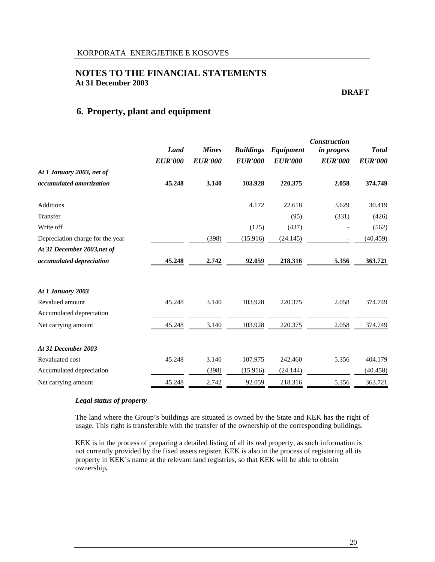**DRAFT** 

# **6. Property, plant and equipment**

|                                  | <b>Land</b><br><b>EUR'000</b> | <b>Mines</b><br><b>EUR'000</b> | <b>Buildings</b><br><b>EUR'000</b> | <b>Equipment</b><br><b>EUR'000</b> | <b>Construction</b><br><i>in progess</i><br><b>EUR'000</b> | <b>Total</b><br><b>EUR'000</b> |
|----------------------------------|-------------------------------|--------------------------------|------------------------------------|------------------------------------|------------------------------------------------------------|--------------------------------|
| At 1 January 2003, net of        |                               |                                |                                    |                                    |                                                            |                                |
| accumulated amortization         | 45.248                        | 3.140                          | 103.928                            | 220.375                            | 2.058                                                      | 374.749                        |
| <b>Additions</b>                 |                               |                                | 4.172                              | 22.618                             | 3.629                                                      | 30.419                         |
| Transfer                         |                               |                                |                                    | (95)                               | (331)                                                      | (426)                          |
| Write off                        |                               |                                | (125)                              | (437)                              |                                                            | (562)                          |
| Depreciation charge for the year |                               | (398)                          | (15.916)                           | (24.145)                           | $\overline{\phantom{a}}$                                   | (40.459)                       |
| At 31 December 2003, net of      |                               |                                |                                    |                                    |                                                            |                                |
| accumulated depreciation         | 45.248                        | 2.742                          | 92.059                             | 218.316                            | 5.356                                                      | 363.721                        |
| At 1 January 2003                |                               |                                |                                    |                                    |                                                            |                                |
| Revalued amount                  | 45.248                        | 3.140                          | 103.928                            | 220.375                            | 2.058                                                      | 374.749                        |
| Accumulated depreciation         |                               |                                |                                    |                                    |                                                            |                                |
| Net carrying amount              | 45.248                        | 3.140                          | 103.928                            | 220.375                            | 2.058                                                      | 374.749                        |
| At 31 December 2003              |                               |                                |                                    |                                    |                                                            |                                |
| Revaluated cost                  | 45.248                        | 3.140                          | 107.975                            | 242.460                            | 5.356                                                      | 404.179                        |
| Accumulated depreciation         |                               | (398)                          | (15.916)                           | (24.144)                           |                                                            | (40.458)                       |
| Net carrying amount              | 45.248                        | 2.742                          | 92.059                             | 218.316                            | 5.356                                                      | 363.721                        |

#### *Legal status of property*

The land where the Group's buildings are situated is owned by the State and KEK has the right of usage. This right is transferable with the transfer of the ownership of the corresponding buildings.

KEK is in the process of preparing a detailed listing of all its real property, as such information is not currently provided by the fixed assets register. KEK is also in the process of registering all its property in KEK's name at the relevant land registries, so that KEK will be able to obtain ownership**.**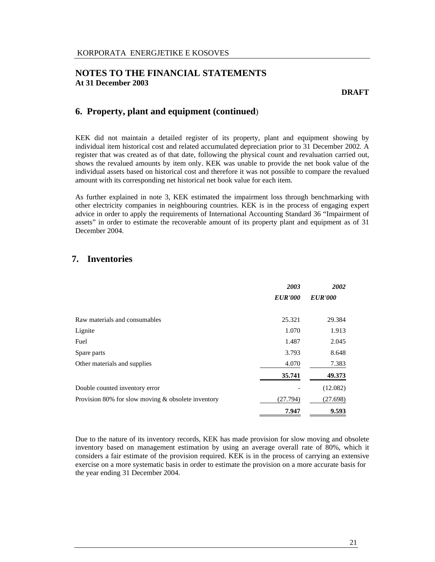# **6. Property, plant and equipment (continued**)

KEK did not maintain a detailed register of its property, plant and equipment showing by individual item historical cost and related accumulated depreciation prior to 31 December 2002. A register that was created as of that date, following the physical count and revaluation carried out, shows the revalued amounts by item only. KEK was unable to provide the net book value of the individual assets based on historical cost and therefore it was not possible to compare the revalued amount with its corresponding net historical net book value for each item.

As further explained in note 3, KEK estimated the impairment loss through benchmarking with other electricity companies in neighbouring countries. KEK is in the process of engaging expert advice in order to apply the requirements of International Accounting Standard 36 "Impairment of assets" in order to estimate the recoverable amount of its property plant and equipment as of 31 December 2004.

# **7. Inventories**

|                                                      | 2003           | 2002           |
|------------------------------------------------------|----------------|----------------|
|                                                      | <b>EUR'000</b> | <b>EUR'000</b> |
|                                                      |                |                |
| Raw materials and consumables                        | 25.321         | 29.384         |
| Lignite                                              | 1.070          | 1.913          |
| Fuel                                                 | 1.487          | 2.045          |
| Spare parts                                          | 3.793          | 8.648          |
| Other materials and supplies                         | 4.070          | 7.383          |
|                                                      | 35.741         | 49.373         |
| Double counted inventory error                       |                | (12.082)       |
| Provision 80% for slow moving $&$ obsolete inventory | (27.794)       | (27.698)       |
|                                                      | 7.947          | 9.593          |

Due to the nature of its inventory records, KEK has made provision for slow moving and obsolete inventory based on management estimation by using an average overall rate of 80%, which it considers a fair estimate of the provision required. KEK is in the process of carrying an extensive exercise on a more systematic basis in order to estimate the provision on a more accurate basis for the year ending 31 December 2004.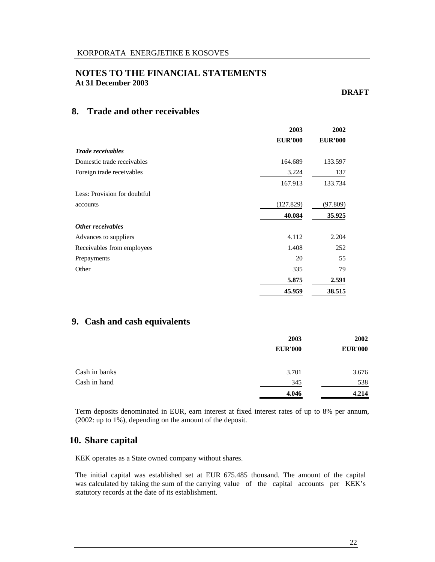### **DRAFT**

# **8. Trade and other receivables**

|                              | 2003           | 2002           |
|------------------------------|----------------|----------------|
|                              | <b>EUR'000</b> | <b>EUR'000</b> |
| <b>Trade receivables</b>     |                |                |
| Domestic trade receivables   | 164.689        | 133.597        |
| Foreign trade receivables    | 3.224          | 137            |
|                              | 167.913        | 133.734        |
| Less: Provision for doubtful |                |                |
| accounts                     | (127.829)      | (97.809)       |
|                              | 40.084         | 35.925         |
| Other receivables            |                |                |
| Advances to suppliers        | 4.112          | 2.204          |
| Receivables from employees   | 1.408          | 252            |
| Prepayments                  | 20             | 55             |
| Other                        | 335            | 79             |
|                              | 5.875          | 2.591          |
|                              | 45.959         | 38.515         |

# **9. Cash and cash equivalents**

|               | 2003           | 2002           |
|---------------|----------------|----------------|
|               | <b>EUR'000</b> | <b>EUR'000</b> |
| Cash in banks | 3.701          | 3.676          |
| Cash in hand  | 345            | 538            |
|               | 4.046          | 4.214          |

Term deposits denominated in EUR, earn interest at fixed interest rates of up to 8% per annum, (2002: up to 1%), depending on the amount of the deposit.

### **10. Share capital**

KEK operates as a State owned company without shares.

The initial capital was established set at EUR 675.485 thousand. The amount of the capital was calculated by taking the sum of the carrying value of the capital accounts per KEK's statutory records at the date of its establishment.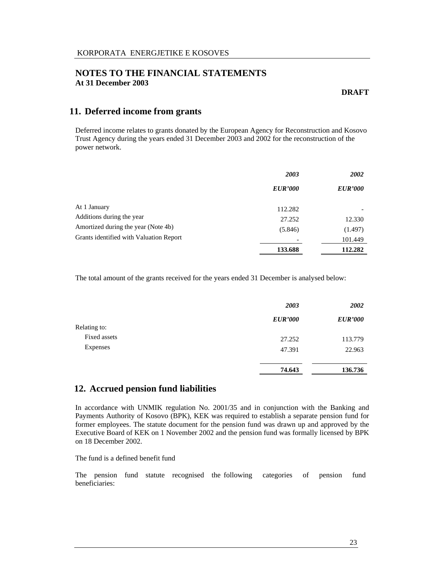**DRAFT** 

# **11. Deferred income from grants**

Deferred income relates to grants donated by the European Agency for Reconstruction and Kosovo Trust Agency during the years ended 31 December 2003 and 2002 for the reconstruction of the power network.

|                                         | 2003           | <b>2002</b>    |
|-----------------------------------------|----------------|----------------|
|                                         | <b>EUR'000</b> | <b>EUR'000</b> |
| At 1 January                            | 112.282        |                |
| Additions during the year               | 27.252         | 12.330         |
| Amortized during the year (Note 4b)     | (5.846)        | (1.497)        |
| Grants identified with Valuation Report |                | 101.449        |
|                                         | 133.688        | 112.282        |

The total amount of the grants received for the years ended 31 December is analysed below:

|              | 2003           | 2002           |
|--------------|----------------|----------------|
|              | <b>EUR'000</b> | <b>EUR'000</b> |
| Relating to: |                |                |
| Fixed assets | 27.252         | 113.779        |
| Expenses     | 47.391         | 22.963         |
|              | 74.643         | 136.736        |

# **12. Accrued pension fund liabilities**

In accordance with UNMIK regulation No. 2001/35 and in conjunction with the Banking and Payments Authority of Kosovo (BPK), KEK was required to establish a separate pension fund for former employees. The statute document for the pension fund was drawn up and approved by the Executive Board of KEK on 1 November 2002 and the pension fund was formally licensed by BPK on 18 December 2002.

The fund is a defined benefit fund

The pension fund statute recognised the following categories of pension fund beneficiaries: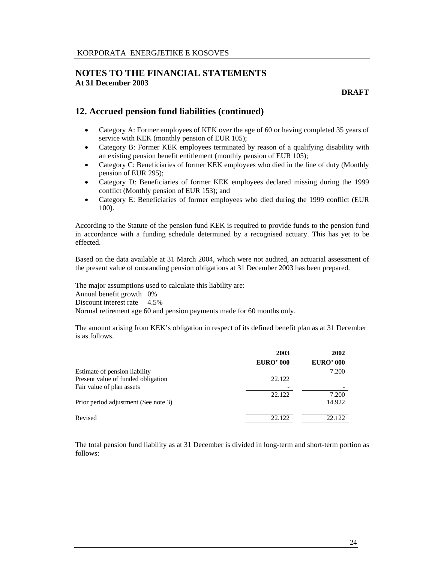**DRAFT** 

# **12. Accrued pension fund liabilities (continued)**

- Category A: Former employees of KEK over the age of 60 or having completed 35 years of service with KEK (monthly pension of EUR 105);
- Category B: Former KEK employees terminated by reason of a qualifying disability with an existing pension benefit entitlement (monthly pension of EUR 105);
- Category C: Beneficiaries of former KEK employees who died in the line of duty (Monthly pension of EUR 295);
- Category D: Beneficiaries of former KEK employees declared missing during the 1999 conflict (Monthly pension of EUR 153); and
- Category E: Beneficiaries of former employees who died during the 1999 conflict (EUR 100).

According to the Statute of the pension fund KEK is required to provide funds to the pension fund in accordance with a funding schedule determined by a recognised actuary. This has yet to be effected.

Based on the data available at 31 March 2004, which were not audited, an actuarial assessment of the present value of outstanding pension obligations at 31 December 2003 has been prepared.

The major assumptions used to calculate this liability are:

Annual benefit growth 0%

Discount interest rate 4.5%

Normal retirement age 60 and pension payments made for 60 months only.

The amount arising from KEK's obligation in respect of its defined benefit plan as at 31 December is as follows.

|                                      | 2003             | 2002             |
|--------------------------------------|------------------|------------------|
|                                      | <b>EURO' 000</b> | <b>EURO' 000</b> |
| Estimate of pension liability        |                  | 7.200            |
| Present value of funded obligation   | 22.122           |                  |
| Fair value of plan assets            |                  |                  |
|                                      | 22.122           | 7.200            |
| Prior period adjustment (See note 3) |                  | 14.922           |
| Revised                              | 22.122           | 22.122           |

The total pension fund liability as at 31 December is divided in long-term and short-term portion as follows: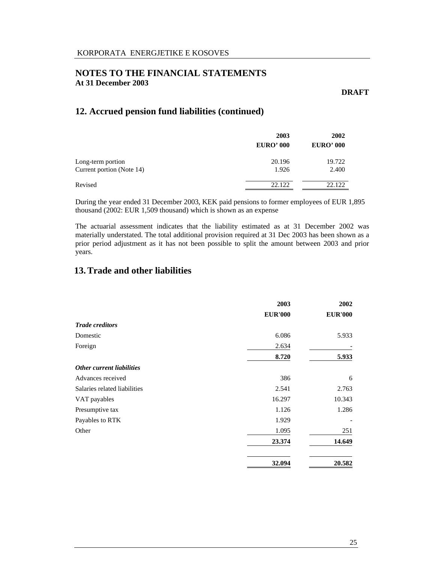**DRAFT** 

# **12. Accrued pension fund liabilities (continued)**

|                           | 2003<br><b>EURO' 000</b> | 2002<br><b>EURO' 000</b> |
|---------------------------|--------------------------|--------------------------|
|                           |                          |                          |
| Long-term portion         | 20.196                   | 19.722                   |
| Current portion (Note 14) | 1.926                    | 2.400                    |
| Revised                   | 22.122                   | 22.122                   |

During the year ended 31 December 2003, KEK paid pensions to former employees of EUR 1,895 thousand (2002: EUR 1,509 thousand) which is shown as an expense

The actuarial assessment indicates that the liability estimated as at 31 December 2002 was materially understated. The total additional provision required at 31 Dec 2003 has been shown as a prior period adjustment as it has not been possible to split the amount between 2003 and prior years.

# **13.Trade and other liabilities**

|                              | 2003<br><b>EUR'000</b> | 2002<br><b>EUR'000</b> |
|------------------------------|------------------------|------------------------|
|                              |                        |                        |
| <b>Trade creditors</b>       |                        |                        |
| Domestic                     | 6.086                  | 5.933                  |
| Foreign                      | 2.634                  |                        |
|                              | 8.720                  | 5.933                  |
| Other current liabilities    |                        |                        |
| Advances received            | 386                    | 6                      |
| Salaries related liabilities | 2.541                  | 2.763                  |
| VAT payables                 | 16.297                 | 10.343                 |
| Presumptive tax              | 1.126                  | 1.286                  |
| Payables to RTK              | 1.929                  |                        |
| Other                        | 1.095                  | 251                    |
|                              | 23.374                 | 14.649                 |
|                              | 32.094                 | 20.582                 |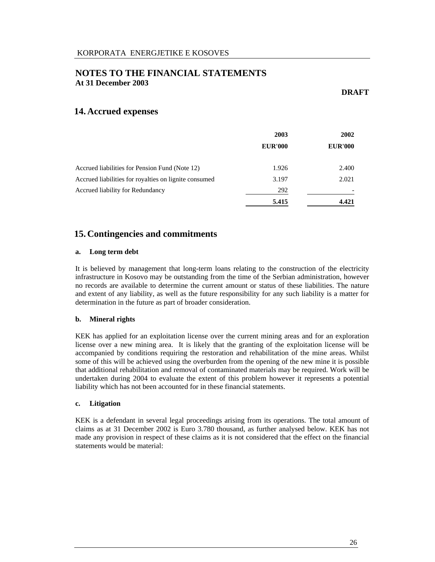**DRAFT** 

### **14. Accrued expenses**

|                                                       | 2003<br><b>EUR'000</b> | 2002<br><b>EUR'000</b> |
|-------------------------------------------------------|------------------------|------------------------|
|                                                       |                        |                        |
| Accrued liabilities for Pension Fund (Note 12)        | 1.926                  | 2.400                  |
| Accrued liabilities for royalties on lignite consumed | 3.197                  | 2.021                  |
| Accrued liability for Redundancy                      | 292                    |                        |
|                                                       | 5.415                  | 4.421                  |

# **15. Contingencies and commitments**

#### **a. Long term debt**

It is believed by management that long-term loans relating to the construction of the electricity infrastructure in Kosovo may be outstanding from the time of the Serbian administration, however no records are available to determine the current amount or status of these liabilities. The nature and extent of any liability, as well as the future responsibility for any such liability is a matter for determination in the future as part of broader consideration.

### **b. Mineral rights**

KEK has applied for an exploitation license over the current mining areas and for an exploration license over a new mining area. It is likely that the granting of the exploitation license will be accompanied by conditions requiring the restoration and rehabilitation of the mine areas. Whilst some of this will be achieved using the overburden from the opening of the new mine it is possible that additional rehabilitation and removal of contaminated materials may be required. Work will be undertaken during 2004 to evaluate the extent of this problem however it represents a potential liability which has not been accounted for in these financial statements.

#### **c. Litigation**

KEK is a defendant in several legal proceedings arising from its operations. The total amount of claims as at 31 December 2002 is Euro 3.780 thousand, as further analysed below. KEK has not made any provision in respect of these claims as it is not considered that the effect on the financial statements would be material: